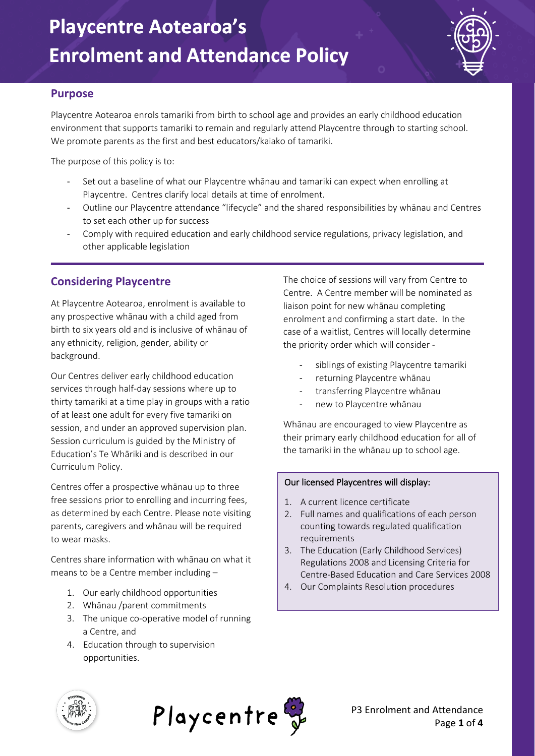

#### **Purpose**

Playcentre Aotearoa enrols tamariki from birth to school age and provides an early childhood education environment that supports tamariki to remain and regularly attend Playcentre through to starting school. We promote parents as the first and best educators/kaiako of tamariki.

The purpose of this policy is to:

- Set out a baseline of what our Playcentre whānau and tamariki can expect when enrolling at Playcentre. Centres clarify local details at time of enrolment.
- Outline our Playcentre attendance "lifecycle" and the shared responsibilities by whānau and Centres to set each other up for success
- Comply with required education and early childhood service regulations, privacy legislation, and other applicable legislation

 $\mathcal{L}_\text{max} = \frac{1}{2} \sum_{i=1}^{n} \frac{1}{2} \sum_{i=1}^{n} \frac{1}{2} \sum_{i=1}^{n} \frac{1}{2} \sum_{i=1}^{n} \frac{1}{2} \sum_{i=1}^{n} \frac{1}{2} \sum_{i=1}^{n} \frac{1}{2} \sum_{i=1}^{n} \frac{1}{2} \sum_{i=1}^{n} \frac{1}{2} \sum_{i=1}^{n} \frac{1}{2} \sum_{i=1}^{n} \frac{1}{2} \sum_{i=1}^{n} \frac{1}{2} \sum_{i=1}^{n} \frac{1$ 

### **Considering Playcentre**

At Playcentre Aotearoa, enrolment is available to any prospective whānau with a child aged from birth to six years old and is inclusive of whānau of any ethnicity, religion, gender, ability or background.

Our Centres deliver early childhood education services through half-day sessions where up to thirty tamariki at a time play in groups with a ratio of at least one adult for every five tamariki on session, and under an approved supervision plan. Session curriculum is guided by the Ministry of Education's Te Whāriki and is described in our Curriculum Policy.

Centres offer a prospective whānau up to three free sessions prior to enrolling and incurring fees, as determined by each Centre. Please note visiting parents, caregivers and whānau will be required to wear masks.

Centres share information with whānau on what it means to be a Centre member including –

- 1. Our early childhood opportunities
- 2. Whānau /parent commitments
- 3. The unique co-operative model of running a Centre, and
- 4. Education through to supervision opportunities.

The choice of sessions will vary from Centre to Centre. A Centre member will be nominated as liaison point for new whānau completing enrolment and confirming a start date. In the case of a waitlist, Centres will locally determine the priority order which will consider -

- siblings of existing Playcentre tamariki
- returning Playcentre whānau
- transferring Playcentre whānau
- new to Playcentre whānau

Whānau are encouraged to view Playcentre as their primary early childhood education for all of the tamariki in the whānau up to school age.

#### Our licensed Playcentres will display:

- 5. A current licence certificate
- 2. Full names and qualifications of each person counting towards regulated qualification requirements
- 3. The Education (Early Childhood Services) Regulations 2008 and Licensing Criteria for Centre-Based Education and Care Services 2008 1.<br>2.<br>3.<br>4.
- 4. Our Complaints Resolution procedures



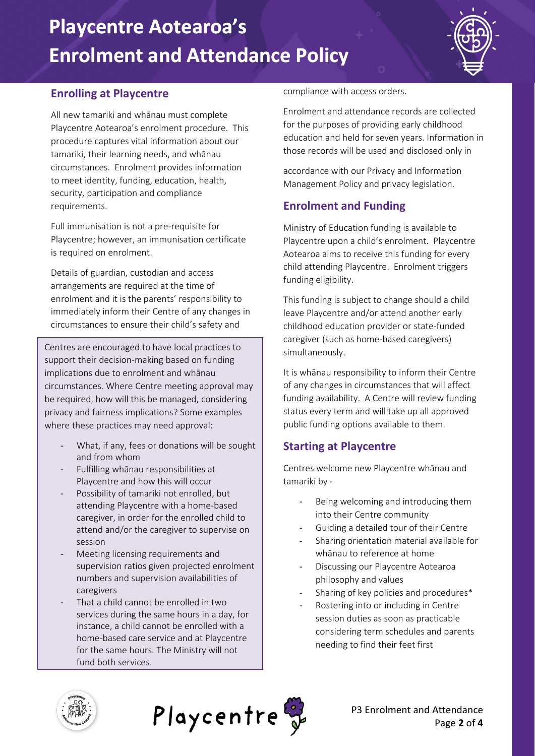# **Playcentre Aotearoa's Enrolment and Attendance Policy**



### **Enrolling at Playcentre**

All new tamariki and whānau must complete Playcentre Aotearoa's enrolment procedure. This procedure captures vital information about our tamariki, their learning needs, and whānau circumstances. Enrolment provides information to meet identity, funding, education, health, security, participation and compliance requirements.

Full immunisation is not a pre-requisite for Playcentre; however, an immunisation certificate is required on enrolment.

Details of guardian, custodian and access arrangements are required at the time of enrolment and it is the parents' responsibility to immediately inform their Centre of any changes in circumstances to ensure their child's safety and

Centres are encouraged to have local practices to support their decision-making based on funding implications due to enrolment and whānau circumstances. Where Centre meeting approval may be required, how will this be managed, considering privacy and fairness implications? Some examples where these practices may need approval:

- What, if any, fees or donations will be sought and from whom
- Fulfilling whānau responsibilities at Playcentre and how this will occur
- Possibility of tamariki not enrolled, but attending Playcentre with a home-based caregiver, in order for the enrolled child to attend and/or the caregiver to supervise on session
- Meeting licensing requirements and supervision ratios given projected enrolment numbers and supervision availabilities of caregivers
- That a child cannot be enrolled in two services during the same hours in a day, for instance, a child cannot be enrolled with a home-based care service and at Playcentre for the same hours. The Ministry will not fund both services.

compliance with access orders.

Enrolment and attendance records are collected for the purposes of providing early childhood education and held for seven years. Information in those records will be used and disclosed only in

accordance with our Privacy and Information Management Policy and privacy legislation.

### **Enrolment and Funding**

Ministry of Education funding is available to Playcentre upon a child's enrolment. Playcentre Aotearoa aims to receive this funding for every child attending Playcentre. Enrolment triggers funding eligibility.

This funding is subject to change should a child leave Playcentre and/or attend another early childhood education provider or state-funded caregiver (such as home-based caregivers) simultaneously.

It is whānau responsibility to inform their Centre of any changes in circumstances that will affect funding availability. A Centre will review funding status every term and will take up all approved public funding options available to them.

### **Starting at Playcentre**

Centres welcome new Playcentre whānau and tamariki by -

- Being welcoming and introducing them into their Centre community
- Guiding a detailed tour of their Centre
- Sharing orientation material available for whānau to reference at home
- Discussing our Playcentre Aotearoa philosophy and values
- Sharing of key policies and procedures\*
- Rostering into or including in Centre session duties as soon as practicable considering term schedules and parents needing to find their feet first



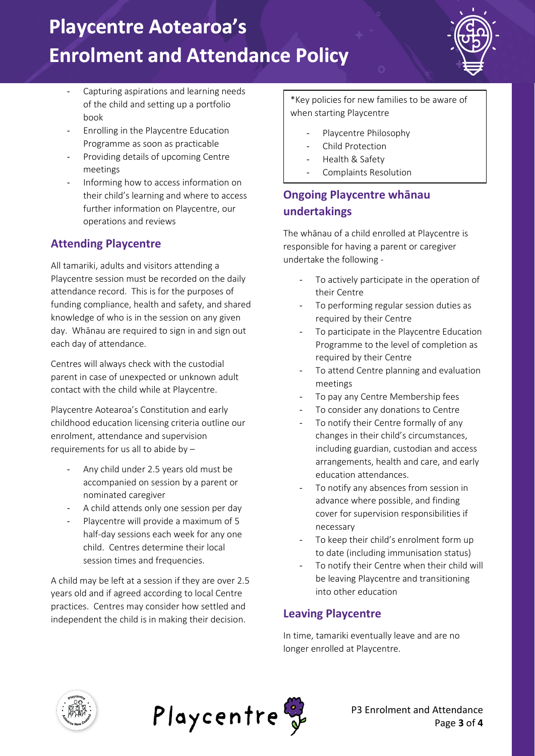# **Playcentre Aotearoa's Enrolment and Attendance Policy**

- Capturing aspirations and learning needs of the child and setting up a portfolio book
- Enrolling in the Playcentre Education Programme as soon as practicable
- Providing details of upcoming Centre meetings
- Informing how to access information on their child's learning and where to access further information on Playcentre, our operations and reviews

## **Attending Playcentre**

All tamariki, adults and visitors attending a Playcentre session must be recorded on the daily attendance record. This is for the purposes of funding compliance, health and safety, and shared knowledge of who is in the session on any given day. Whānau are required to sign in and sign out each day of attendance.

Centres will always check with the custodial parent in case of unexpected or unknown adult contact with the child while at Playcentre.

Playcentre Aotearoa's Constitution and early childhood education licensing criteria outline our enrolment, attendance and supervision requirements for us all to abide by –

- Any child under 2.5 years old must be accompanied on session by a parent or nominated caregiver
- A child attends only one session per day
- Playcentre will provide a maximum of 5 half-day sessions each week for any one child. Centres determine their local session times and frequencies.

A child may be left at a session if they are over 2.5 years old and if agreed according to local Centre practices. Centres may consider how settled and independent the child is in making their decision.

\*Key policies for new families to be aware of when starting Playcentre

- Playcentre Philosophy
- Child Protection
- Health & Safety
- Complaints Resolution

## **Ongoing Playcentre whānau undertakings**

The whānau of a child enrolled at Playcentre is responsible for having a parent or caregiver undertake the following -

- To actively participate in the operation of their Centre
- To performing regular session duties as required by their Centre
- To participate in the Playcentre Education Programme to the level of completion as required by their Centre
- To attend Centre planning and evaluation meetings
- To pay any Centre Membership fees
- To consider any donations to Centre
- To notify their Centre formally of any changes in their child's circumstances, including guardian, custodian and access arrangements, health and care, and early education attendances.
- To notify any absences from session in advance where possible, and finding cover for supervision responsibilities if necessary
- To keep their child's enrolment form up to date (including immunisation status)
- To notify their Centre when their child will be leaving Playcentre and transitioning into other education

### **Leaving Playcentre**

In time, tamariki eventually leave and are no longer enrolled at Playcentre.